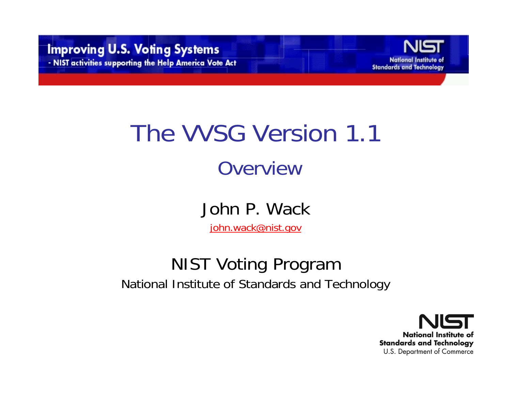

#### The VVSG Version 1.1 **Overview**

John P. Wack

john.wack@nist.gov

#### NIST Voting Program National Institute of Standards and Technology

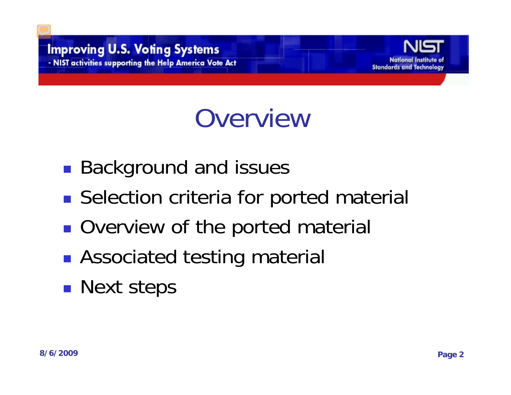

#### **Overview**

- ■ Background and issues
- **Selection criteria for ported material**
- **Service Service Overview of the ported material**
- **Associated testing material**
- **Next steps**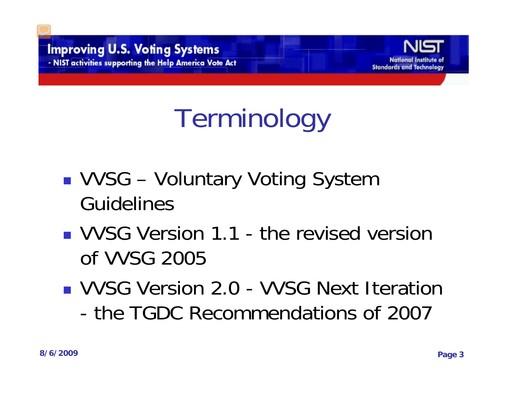

# Terminology

- VVSG – Voluntary Voting System Guidelines
- **VVSG Version 1.1 the revised version** of VVSG 2005
- **NUSG Version 2.0 VVSG Next Iteration** - the TGDC Recommendations of 2007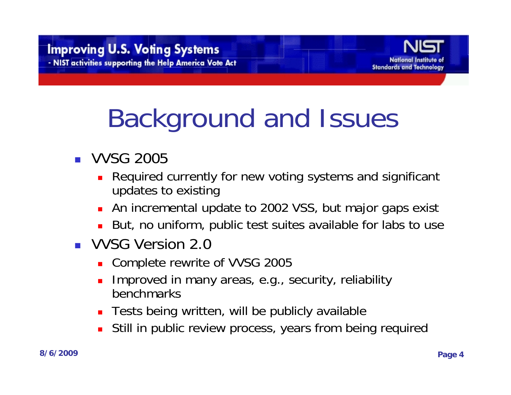

# Background and Issues

- VVSG 2005
	- П Required currently for new voting systems and significant updates to existing
	- An incremental update to 2002 VSS, but major gaps exist
	- But, no uniform, public test suites available for labs to use
- **UD** VVSG Version 2.0
	- Complete rewrite of VVSG 2005
	- Ξ Improved in many areas, e.g., security, reliability benchmarks
	- Tests being written, will be publicly available
	- П Still in public review process, years from being required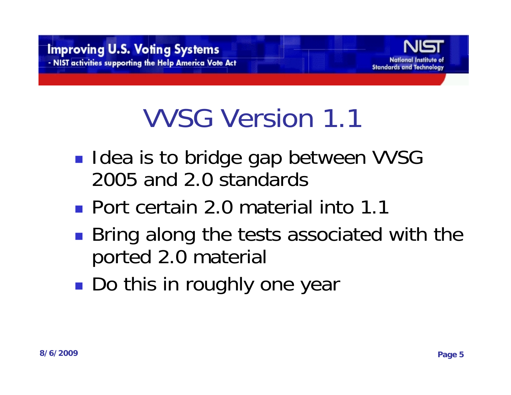

## VVSG Version 1.1

- **Idea is to bridge gap between VVSG** 2005 and 2.0 standards
- Port certain 2.0 material into 1.1
- Bring along the tests associated with the ported 2.0 material
- ■ Do this in roughly one year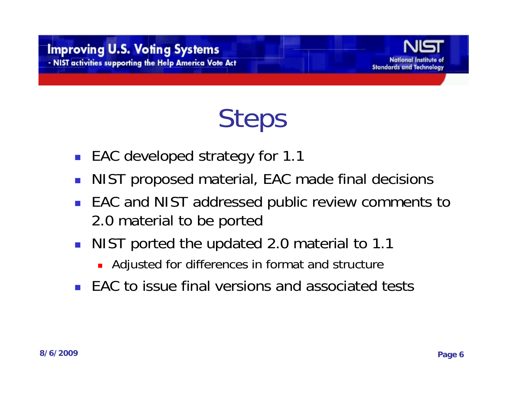

#### Steps

- **EAC developed strategy for 1.1**
- $\mathcal{L}_{\text{max}}$ NIST proposed material, EAC made final decisions
- $\mathcal{L}_{\mathcal{A}}$  EAC and NIST addressed public review comments to 2.0 material to be ported
- **NIST ported the updated 2.0 material to 1.1** 
	- Adjusted for differences in format and structure
- EAC to issue final versions and associated tests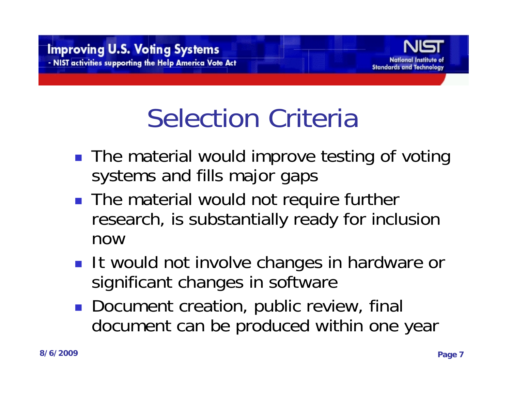

# Selection Criteria

- The material would improve testing of voting systems and fills major gaps
- **The material would not require further** research, is substantially ready for inclusion now
- **It would not involve changes in hardware or** significant changes in software
- **Document creation, public review, final** document can be produced within one year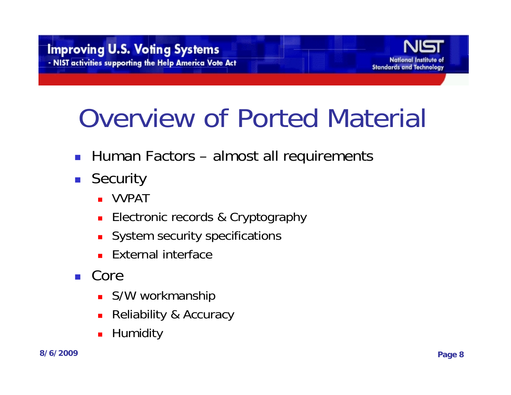

# Overview of Ported Material

- Human Factors almost all requirements
- Security
	- VVPAT
	- **Electronic records & Cryptography**
	- **System security specifications**
	- **External interface**
- Core
	- **S/W workmanship**
	- Reliability & Accuracy
	- П Humidity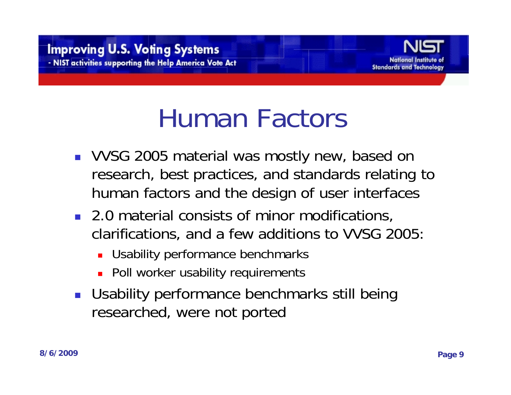

#### Human Factors

- **VVSG 2005 material was mostly new, based on** research, best practices, and standards relating to human factors and the design of user interfaces
- 2.0 material consists of minor modifications, clarifications, and a few additions to VVSG 2005:
	- Usability performance benchmarks
	- **Poll worker usability requirements**
- Usability performance benchmarks still being researched, were not ported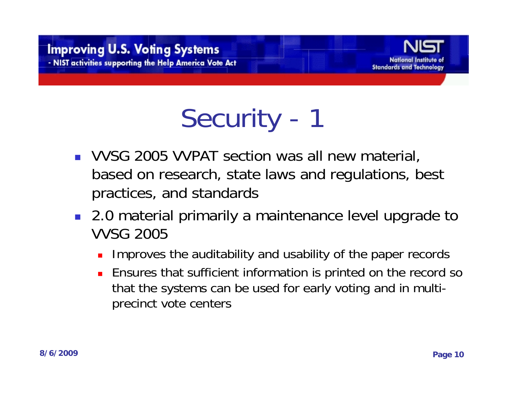

Security - 1

- VVSG 2005 VVPAT section was all new material, based on research, state laws and regulations, best practices, and standards
- 2.0 material primarily a maintenance level upgrade to VVSG 2005
	- L. Improves the auditability and usability of the paper records
	- Ensures that sufficient information is printed on the record so that the systems can be used for early voting and in multiprecinct vote centers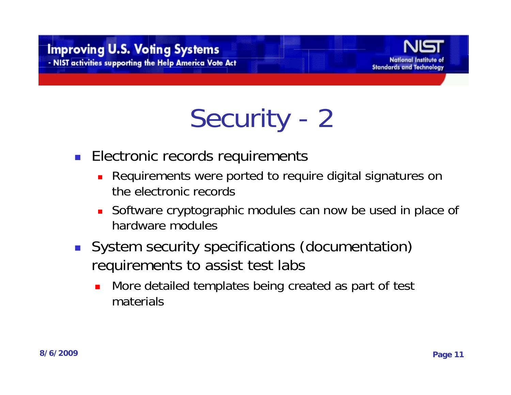#### **Improving U.S. Voting Systems** - NIST activities supporting the Help America Vote Act



# Security - 2

- **Electronic records requirements** 
	- Requirements were ported to require digital signatures on the electronic records
	- Software cryptographic modules can now be used in place of hardware modules
- System security specifications (documentation) requirements to assist test labs
	- $\mathcal{L}_{\mathcal{A}}$  More detailed templates being created as part of test materials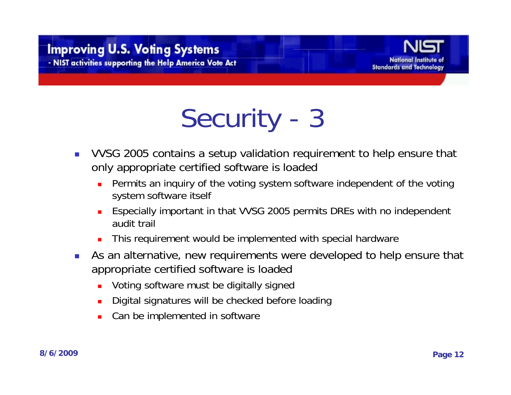#### **Improving U.S. Voting Systems** - NIST activities supporting the Help America Vote Act



# Security - 3

- $\mathbb{R}^3$  VVSG 2005 contains a setup validation requirement to help ensure that only appropriate certified software is loaded
	- П Permits an inquiry of the voting system software independent of the voting system software itself
	- П Especially important in that VVSG 2005 permits DREs with no independent audit trail
	- П This requirement would be implemented with special hardware
- $\mathcal{L}_{\mathcal{A}}$  As an alternative, new requirements were developed to help ensure that appropriate certified software is loaded
	- П Voting software must be digitally signed
	- П Digital signatures will be checked before loading
	- П Can be implemented in software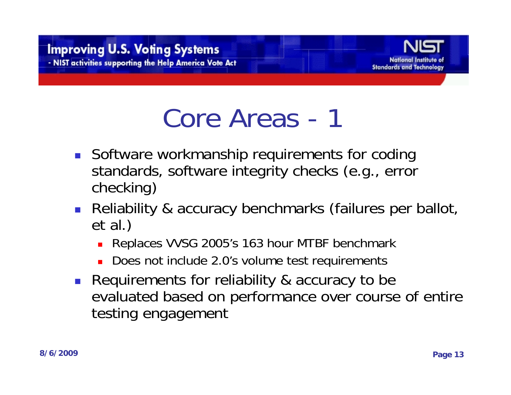

#### Core Areas - 1

- **Software workmanship requirements for coding** standards, software integrity checks (e.g., error checking)
- **Reliability & accuracy benchmarks (failures per ballot,** et al.)
	- Replaces VVSG 2005's 163 hour MTBF benchmark
	- Does not include 2.0's volume test requirements
- **Requirements for reliability & accuracy to be** evaluated based on performance over course of entire testing engagement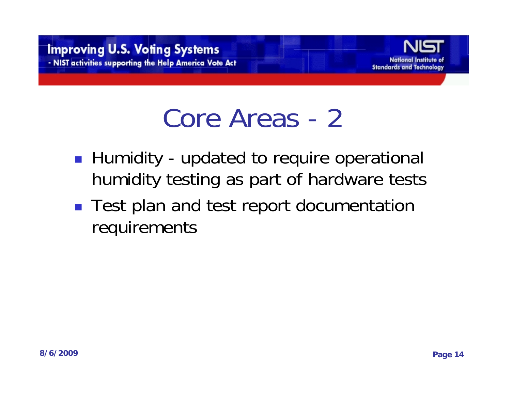

#### Core Areas - 2

- Humidity updated to require operational humidity testing as part of hardware tests
- Test plan and test report documentation requirements